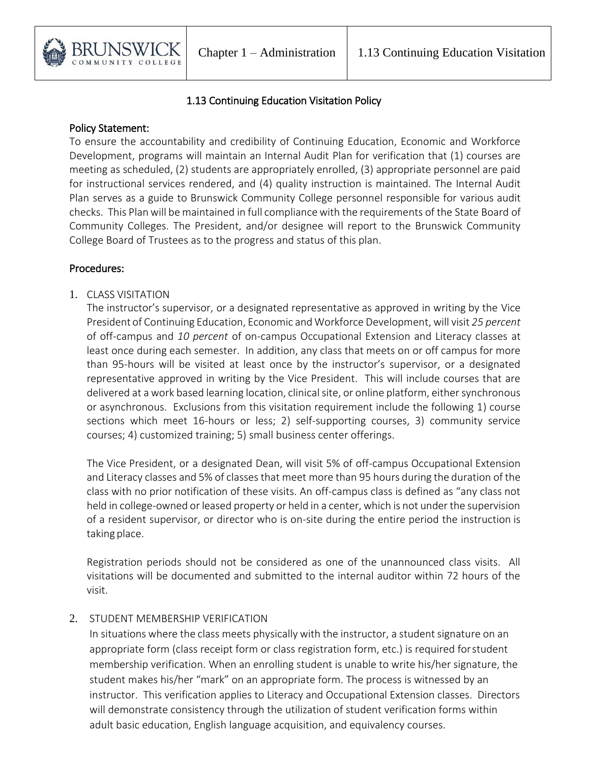

## 1.13 Continuing Education Visitation Policy

#### Policy Statement:

To ensure the accountability and credibility of Continuing Education, Economic and Workforce Development, programs will maintain an Internal Audit Plan for verification that (1) courses are meeting as scheduled, (2) students are appropriately enrolled, (3) appropriate personnel are paid for instructional services rendered, and (4) quality instruction is maintained. The Internal Audit Plan serves as a guide to Brunswick Community College personnel responsible for various audit checks. This Plan will be maintained in full compliancewith the requirements of the State Board of Community Colleges. The President, and/or designee will report to the Brunswick Community College Board of Trustees as to the progress and status of this plan.

#### Procedures:

1. CLASS VISITATION

The instructor's supervisor, or a designated representative as approved in writing by the Vice President of Continuing Education, Economic and Workforce Development, will visit *25 percent* of off-campus and *10 percent* of on-campus Occupational Extension and Literacy classes at least once during each semester. In addition, any class that meets on or off campus for more than 95-hours will be visited at least once by the instructor's supervisor, or a designated representative approved in writing by the Vice President. This will include courses that are delivered at a work based learning location, clinical site, or online platform, either synchronous or asynchronous. Exclusions from this visitation requirement include the following 1) course sections which meet 16-hours or less; 2) self-supporting courses, 3) community service courses; 4) customized training; 5) small business center offerings.

The Vice President, or a designated Dean, will visit 5% of off-campus Occupational Extension and Literacy classes and 5% of classes that meet more than 95 hours during the duration of the class with no prior notification of these visits. An off-campus class is defined as "any class not held in college-owned or leased property or held in a center, which is not under the supervision of a resident supervisor, or director who is on-site during the entire period the instruction is taking place.

Registration periods should not be considered as one of the unannounced class visits. All visitations will be documented and submitted to the internal auditor within 72 hours of the visit.

### 2. STUDENT MEMBERSHIP VERIFICATION

In situations where the class meets physically with the instructor, a student signature on an appropriate form (class receipt form or class registration form, etc.) is required forstudent membership verification. When an enrolling student is unable to write his/her signature, the student makes his/her "mark" on an appropriate form. The process is witnessed by an instructor. This verification applies to Literacy and Occupational Extension classes. Directors will demonstrate consistency through the utilization of student verification forms within adult basic education, English language acquisition, and equivalency courses.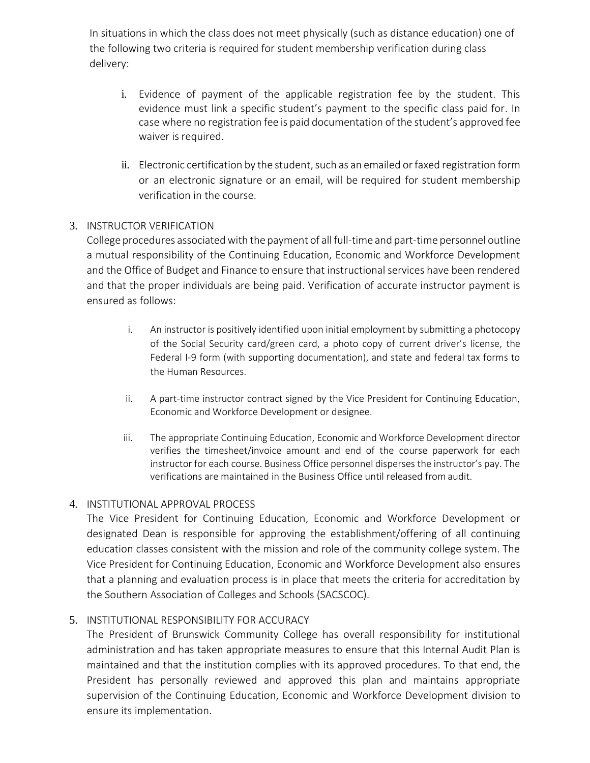In situations in which the class does not meet physically (such as distance education) one of the following two criteria is required for student membership verification during class delivery:

- i. Evidence of payment of the applicable registration fee by the student. This evidence must link a specific student's payment to the specific class paid for. In case where no registration fee is paid documentation of the student's approved fee waiver is required.
- ii. Electronic certification by the student, such as an emailed or faxed registration form or an electronic signature or an email, will be required for student membership verification in the course.

# 3. INSTRUCTOR VERIFICATION

College procedures associated with the payment of all full-time and part-time personnel outline a mutual responsibility of the Continuing Education, Economic and Workforce Development and the Office of Budget and Finance to ensure that instructional services have been rendered and that the proper individuals are being paid. Verification of accurate instructor payment is ensured as follows:

- i. An instructor is positively identified upon initial employment by submitting a photocopy of the Social Security card/green card, a photo copy of current driver's license, the Federal I-9 form (with supporting documentation), and state and federal tax forms to the Human Resources.
- ii. A part-time instructor contract signed by the Vice President for Continuing Education, Economic and Workforce Development or designee.
- iii. The appropriate Continuing Education, Economic and Workforce Development director verifies the timesheet/invoice amount and end of the course paperwork for each instructor for each course. Business Office personnel disperses the instructor's pay. The verifications are maintained in the Business Office until released from audit.

### 4. INSTITUTIONAL APPROVAL PROCESS

The Vice President for Continuing Education, Economic and Workforce Development or designated Dean is responsible for approving the establishment/offering of all continuing education classes consistent with the mission and role of the community college system. The Vice President for Continuing Education, Economic and Workforce Development also ensures that a planning and evaluation process is in place that meets the criteria for accreditation by the Southern Association of Colleges and Schools (SACSCOC).

### 5. INSTITUTIONAL RESPONSIBILITY FOR ACCURACY

The President of Brunswick Community College has overall responsibility for institutional administration and has taken appropriate measures to ensure that this Internal Audit Plan is maintained and that the institution complies with its approved procedures. To that end, the President has personally reviewed and approved this plan and maintains appropriate supervision of the Continuing Education, Economic and Workforce Development division to ensure its implementation.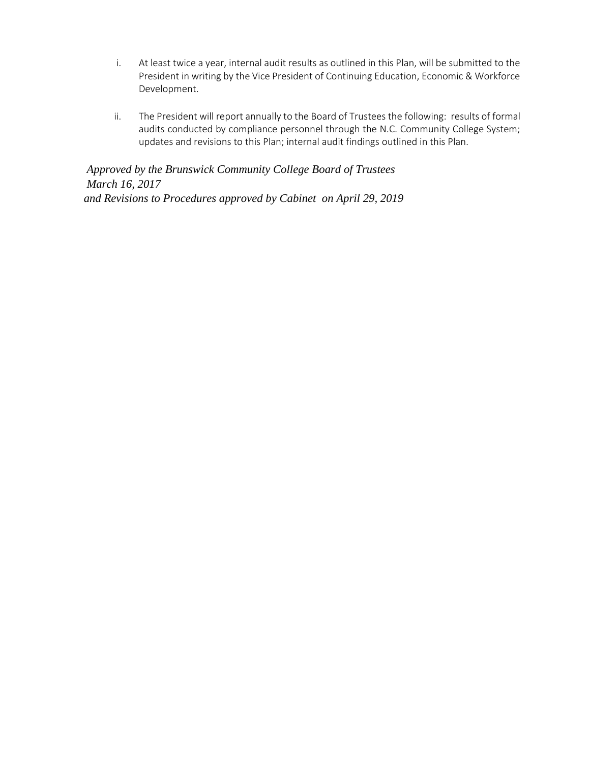- i. At least twice a year, internal audit results as outlined in this Plan, will be submitted to the President in writing by the Vice President of Continuing Education, Economic & Workforce Development.
- ii. The President will report annually to the Board of Trustees the following: results of formal audits conducted by compliance personnel through the N.C. Community College System; updates and revisions to this Plan; internal audit findings outlined in this Plan.

*Approved by the Brunswick Community College Board of Trustees March 16, 2017 and Revisions to Procedures approved by Cabinet on April 29, 2019*